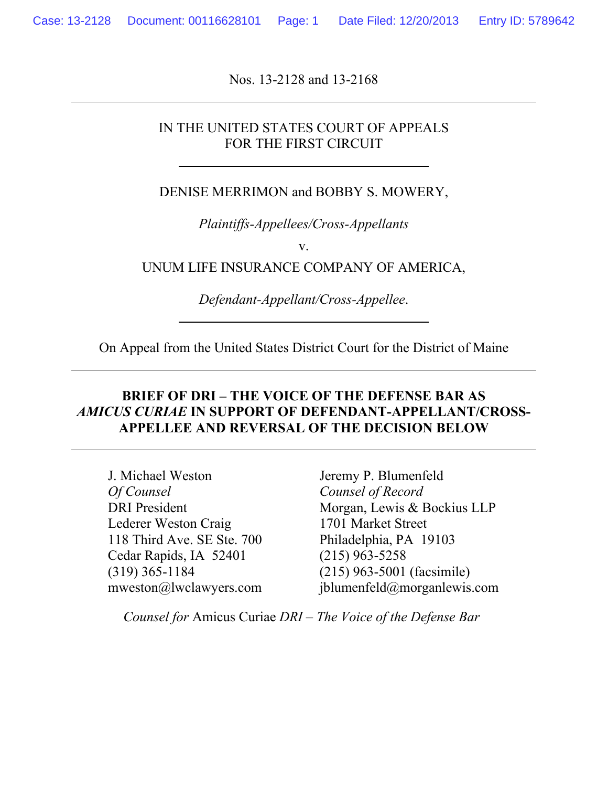Nos. 13-2128 and 13-2168

#### IN THE UNITED STATES COURT OF APPEALS FOR THE FIRST CIRCUIT

DENISE MERRIMON and BOBBY S. MOWERY,

*Plaintiffs-Appellees/Cross-Appellants*

v.

UNUM LIFE INSURANCE COMPANY OF AMERICA,

*Defendant-Appellant/Cross-Appellee*.

On Appeal from the United States District Court for the District of Maine

#### **BRIEF OF DRI – THE VOICE OF THE DEFENSE BAR AS** *AMICUS CURIAE* **IN SUPPORT OF DEFENDANT-APPELLANT/CROSS-APPELLEE AND REVERSAL OF THE DECISION BELOW**

J. Michael Weston *Of Counsel* DRI President Lederer Weston Craig 118 Third Ave. SE Ste. 700 Cedar Rapids, IA 52401 (319) 365-1184 mweston@lwclawyers.com

Jeremy P. Blumenfeld *Counsel of Record* Morgan, Lewis & Bockius LLP 1701 Market Street Philadelphia, PA 19103 (215) 963-5258 (215) 963-5001 (facsimile) jblumenfeld@morganlewis.com

*Counsel for* Amicus Curiae *DRI – The Voice of the Defense Bar*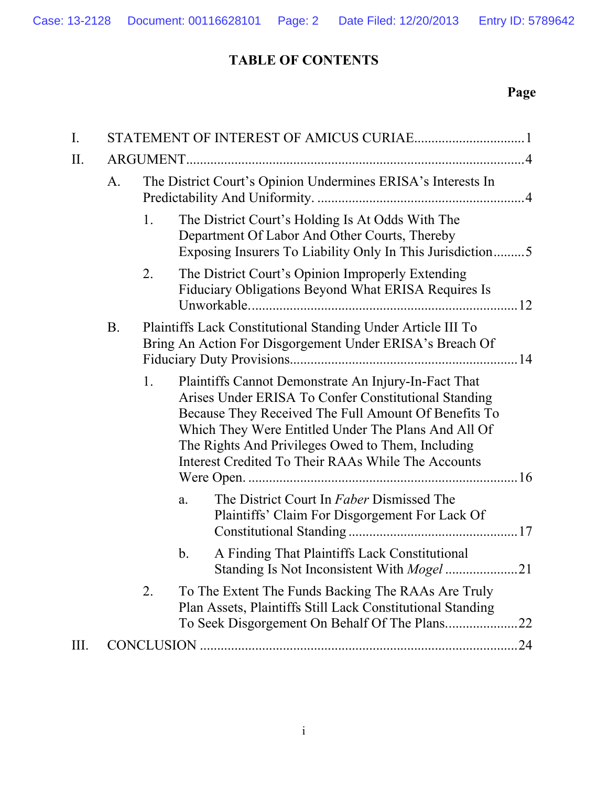### **TABLE OF CONTENTS**

## **Page**

| $\mathbf{I}$ . |           |                                                                                                                          |                                                                                                                                                                                                                                                                                                                                        |    |  |  |  |
|----------------|-----------|--------------------------------------------------------------------------------------------------------------------------|----------------------------------------------------------------------------------------------------------------------------------------------------------------------------------------------------------------------------------------------------------------------------------------------------------------------------------------|----|--|--|--|
| II.            |           |                                                                                                                          |                                                                                                                                                                                                                                                                                                                                        |    |  |  |  |
|                | A.        | The District Court's Opinion Undermines ERISA's Interests In                                                             |                                                                                                                                                                                                                                                                                                                                        |    |  |  |  |
|                |           | 1.                                                                                                                       | The District Court's Holding Is At Odds With The<br>Department Of Labor And Other Courts, Thereby<br>Exposing Insurers To Liability Only In This Jurisdiction5                                                                                                                                                                         |    |  |  |  |
|                |           | 2.                                                                                                                       | The District Court's Opinion Improperly Extending<br>Fiduciary Obligations Beyond What ERISA Requires Is                                                                                                                                                                                                                               |    |  |  |  |
|                | <b>B.</b> | Plaintiffs Lack Constitutional Standing Under Article III To<br>Bring An Action For Disgorgement Under ERISA's Breach Of |                                                                                                                                                                                                                                                                                                                                        |    |  |  |  |
|                |           | 1.                                                                                                                       | Plaintiffs Cannot Demonstrate An Injury-In-Fact That<br>Arises Under ERISA To Confer Constitutional Standing<br>Because They Received The Full Amount Of Benefits To<br>Which They Were Entitled Under The Plans And All Of<br>The Rights And Privileges Owed to Them, Including<br>Interest Credited To Their RAAs While The Accounts |    |  |  |  |
|                |           |                                                                                                                          | The District Court In Faber Dismissed The<br>a.<br>Plaintiffs' Claim For Disgorgement For Lack Of                                                                                                                                                                                                                                      |    |  |  |  |
|                |           |                                                                                                                          | A Finding That Plaintiffs Lack Constitutional<br>b.                                                                                                                                                                                                                                                                                    |    |  |  |  |
|                |           | 2.                                                                                                                       | To The Extent The Funds Backing The RAAs Are Truly<br>Plan Assets, Plaintiffs Still Lack Constitutional Standing                                                                                                                                                                                                                       |    |  |  |  |
| III.           |           |                                                                                                                          |                                                                                                                                                                                                                                                                                                                                        | 24 |  |  |  |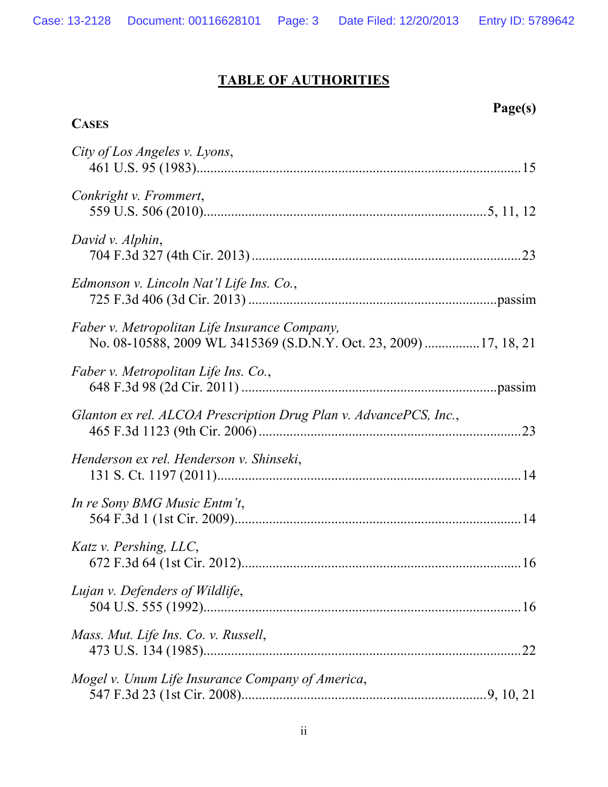# **TABLE OF AUTHORITIES**

**CASES**

**Page(s)**

| City of Los Angeles v. Lyons,                                                                                      |
|--------------------------------------------------------------------------------------------------------------------|
| Conkright v. Frommert,                                                                                             |
| David v. Alphin,                                                                                                   |
| Edmonson v. Lincoln Nat'l Life Ins. Co.,                                                                           |
| Faber v. Metropolitan Life Insurance Company,<br>No. 08-10588, 2009 WL 3415369 (S.D.N.Y. Oct. 23, 2009) 17, 18, 21 |
| Faber v. Metropolitan Life Ins. Co.,                                                                               |
| Glanton ex rel. ALCOA Prescription Drug Plan v. AdvancePCS, Inc.,                                                  |
| Henderson ex rel. Henderson v. Shinseki,                                                                           |
| In re Sony BMG Music Entm't,                                                                                       |
| Katz v. Pershing, LLC,                                                                                             |
| Lujan v. Defenders of Wildlife,                                                                                    |
| Mass. Mut. Life Ins. Co. v. Russell,                                                                               |
| Mogel v. Unum Life Insurance Company of America,                                                                   |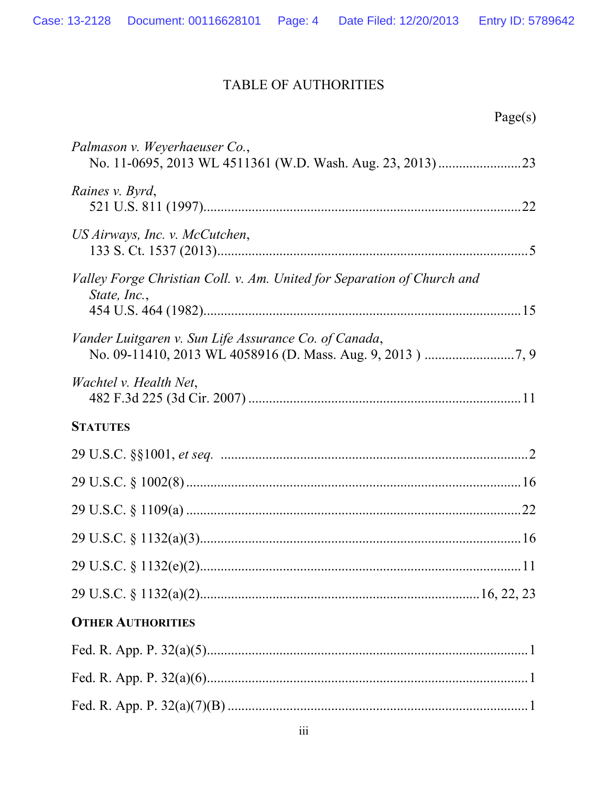### TABLE OF AUTHORITIES

| Page(s) |
|---------|
|         |
|         |
|         |
|         |
|         |
|         |
|         |
|         |
|         |
|         |
|         |
|         |
|         |
|         |
|         |
|         |
|         |
|         |
|         |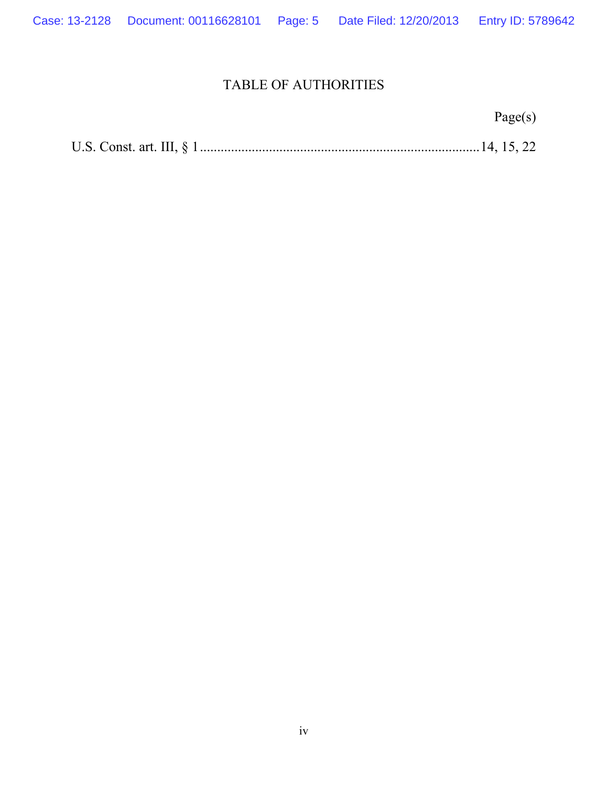### TABLE OF AUTHORITIES

|--|--|--|--|--|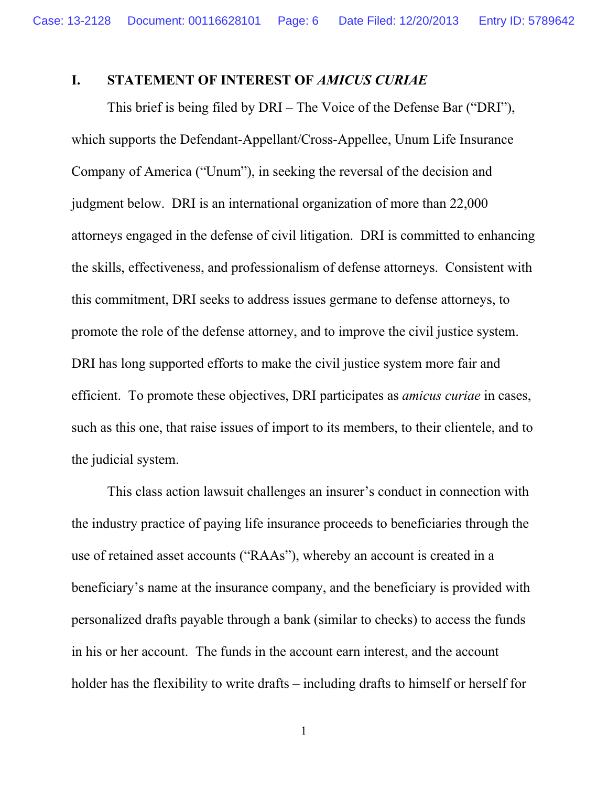#### **I. STATEMENT OF INTEREST OF** *AMICUS CURIAE*

This brief is being filed by DRI – The Voice of the Defense Bar ("DRI"), which supports the Defendant-Appellant/Cross-Appellee, Unum Life Insurance Company of America ("Unum"), in seeking the reversal of the decision and judgment below. DRI is an international organization of more than 22,000 attorneys engaged in the defense of civil litigation. DRI is committed to enhancing the skills, effectiveness, and professionalism of defense attorneys. Consistent with this commitment, DRI seeks to address issues germane to defense attorneys, to promote the role of the defense attorney, and to improve the civil justice system. DRI has long supported efforts to make the civil justice system more fair and efficient. To promote these objectives, DRI participates as *amicus curiae* in cases, such as this one, that raise issues of import to its members, to their clientele, and to the judicial system.

This class action lawsuit challenges an insurer's conduct in connection with the industry practice of paying life insurance proceeds to beneficiaries through the use of retained asset accounts ("RAAs"), whereby an account is created in a beneficiary's name at the insurance company, and the beneficiary is provided with personalized drafts payable through a bank (similar to checks) to access the funds in his or her account. The funds in the account earn interest, and the account holder has the flexibility to write drafts – including drafts to himself or herself for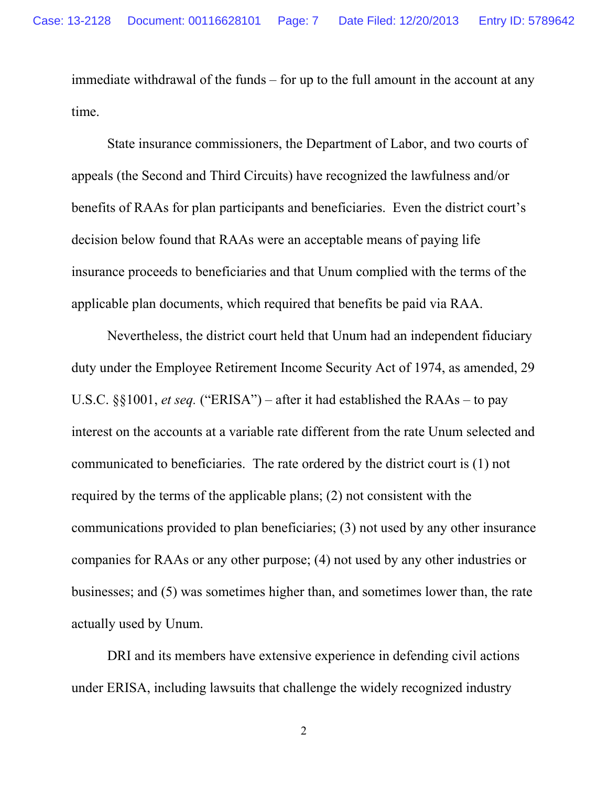immediate withdrawal of the funds – for up to the full amount in the account at any time.

State insurance commissioners, the Department of Labor, and two courts of appeals (the Second and Third Circuits) have recognized the lawfulness and/or benefits of RAAs for plan participants and beneficiaries. Even the district court's decision below found that RAAs were an acceptable means of paying life insurance proceeds to beneficiaries and that Unum complied with the terms of the applicable plan documents, which required that benefits be paid via RAA.

Nevertheless, the district court held that Unum had an independent fiduciary duty under the Employee Retirement Income Security Act of 1974, as amended, 29 U.S.C. §§1001, *et seq.* ("ERISA") – after it had established the RAAs – to pay interest on the accounts at a variable rate different from the rate Unum selected and communicated to beneficiaries. The rate ordered by the district court is (1) not required by the terms of the applicable plans; (2) not consistent with the communications provided to plan beneficiaries; (3) not used by any other insurance companies for RAAs or any other purpose; (4) not used by any other industries or businesses; and (5) was sometimes higher than, and sometimes lower than, the rate actually used by Unum.

DRI and its members have extensive experience in defending civil actions under ERISA, including lawsuits that challenge the widely recognized industry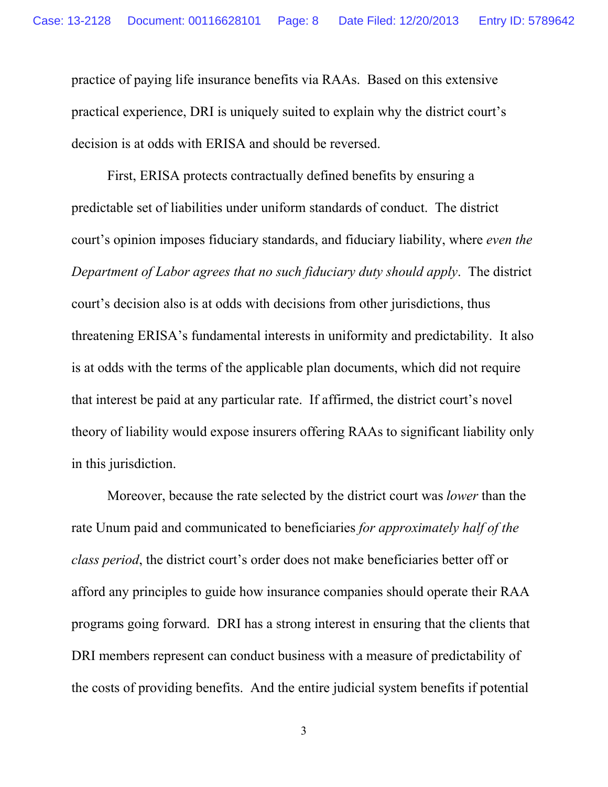practice of paying life insurance benefits via RAAs. Based on this extensive practical experience, DRI is uniquely suited to explain why the district court's decision is at odds with ERISA and should be reversed.

First, ERISA protects contractually defined benefits by ensuring a predictable set of liabilities under uniform standards of conduct. The district court's opinion imposes fiduciary standards, and fiduciary liability, where *even the Department of Labor agrees that no such fiduciary duty should apply*. The district court's decision also is at odds with decisions from other jurisdictions, thus threatening ERISA's fundamental interests in uniformity and predictability. It also is at odds with the terms of the applicable plan documents, which did not require that interest be paid at any particular rate. If affirmed, the district court's novel theory of liability would expose insurers offering RAAs to significant liability only in this jurisdiction.

Moreover, because the rate selected by the district court was *lower* than the rate Unum paid and communicated to beneficiaries *for approximately half of the class period*, the district court's order does not make beneficiaries better off or afford any principles to guide how insurance companies should operate their RAA programs going forward. DRI has a strong interest in ensuring that the clients that DRI members represent can conduct business with a measure of predictability of the costs of providing benefits. And the entire judicial system benefits if potential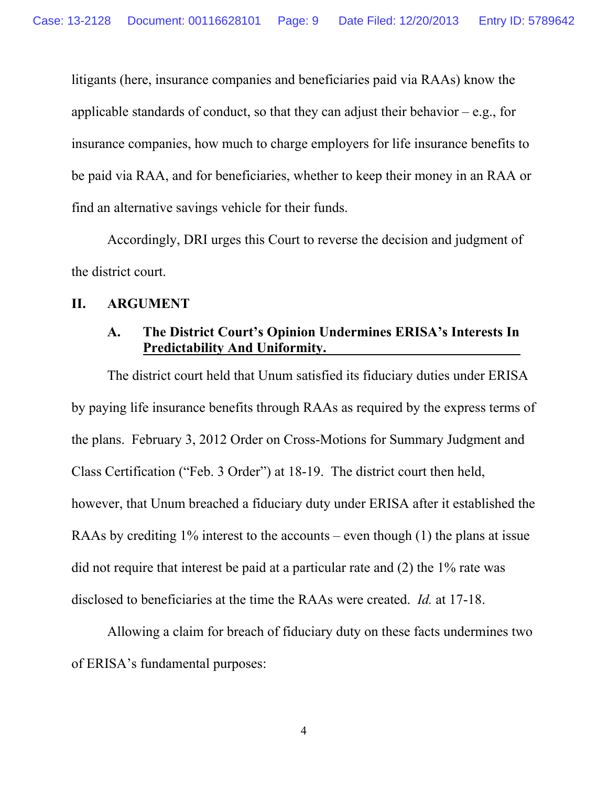litigants (here, insurance companies and beneficiaries paid via RAAs) know the applicable standards of conduct, so that they can adjust their behavior  $-e.g.,$  for insurance companies, how much to charge employers for life insurance benefits to be paid via RAA, and for beneficiaries, whether to keep their money in an RAA or find an alternative savings vehicle for their funds.

Accordingly, DRI urges this Court to reverse the decision and judgment of the district court.

#### **II. ARGUMENT**

#### **A. The District Court's Opinion Undermines ERISA's Interests In Predictability And Uniformity.**

The district court held that Unum satisfied its fiduciary duties under ERISA by paying life insurance benefits through RAAs as required by the express terms of the plans. February 3, 2012 Order on Cross-Motions for Summary Judgment and Class Certification ("Feb. 3 Order") at 18-19. The district court then held, however, that Unum breached a fiduciary duty under ERISA after it established the RAAs by crediting 1% interest to the accounts – even though (1) the plans at issue did not require that interest be paid at a particular rate and (2) the 1% rate was disclosed to beneficiaries at the time the RAAs were created. *Id.* at 17-18.

Allowing a claim for breach of fiduciary duty on these facts undermines two of ERISA's fundamental purposes: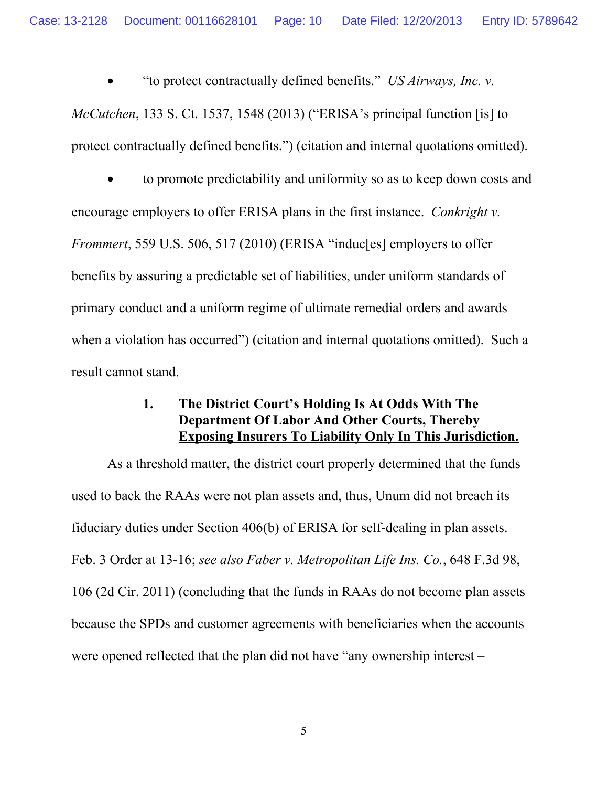"to protect contractually defined benefits." *US Airways, Inc. v.* 

*McCutchen*, 133 S. Ct. 1537, 1548 (2013) ("ERISA's principal function [is] to protect contractually defined benefits.") (citation and internal quotations omitted).

 to promote predictability and uniformity so as to keep down costs and encourage employers to offer ERISA plans in the first instance. *Conkright v. Frommert*, 559 U.S. 506, 517 (2010) (ERISA "induc[es] employers to offer benefits by assuring a predictable set of liabilities, under uniform standards of primary conduct and a uniform regime of ultimate remedial orders and awards when a violation has occurred") (citation and internal quotations omitted). Such a result cannot stand.

### **1. The District Court's Holding Is At Odds With The Department Of Labor And Other Courts, Thereby Exposing Insurers To Liability Only In This Jurisdiction.**

As a threshold matter, the district court properly determined that the funds used to back the RAAs were not plan assets and, thus, Unum did not breach its fiduciary duties under Section 406(b) of ERISA for self-dealing in plan assets. Feb. 3 Order at 13-16; *see also Faber v. Metropolitan Life Ins. Co.*, 648 F.3d 98, 106 (2d Cir. 2011) (concluding that the funds in RAAs do not become plan assets because the SPDs and customer agreements with beneficiaries when the accounts were opened reflected that the plan did not have "any ownership interest –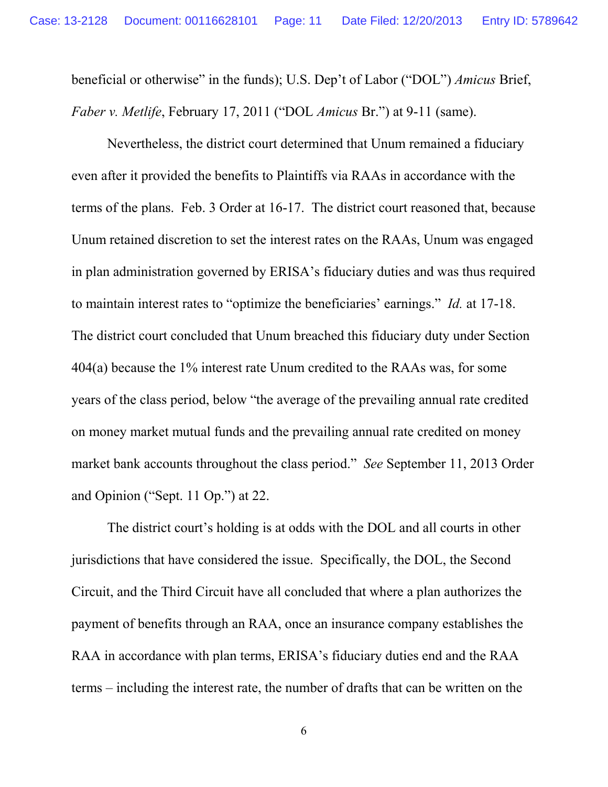beneficial or otherwise" in the funds); U.S. Dep't of Labor ("DOL") *Amicus* Brief, *Faber v. Metlife*, February 17, 2011 ("DOL *Amicus* Br.") at 9-11 (same).

Nevertheless, the district court determined that Unum remained a fiduciary even after it provided the benefits to Plaintiffs via RAAs in accordance with the terms of the plans. Feb. 3 Order at 16-17. The district court reasoned that, because Unum retained discretion to set the interest rates on the RAAs, Unum was engaged in plan administration governed by ERISA's fiduciary duties and was thus required to maintain interest rates to "optimize the beneficiaries' earnings." *Id.* at 17-18. The district court concluded that Unum breached this fiduciary duty under Section 404(a) because the 1% interest rate Unum credited to the RAAs was, for some years of the class period, below "the average of the prevailing annual rate credited on money market mutual funds and the prevailing annual rate credited on money market bank accounts throughout the class period." *See* September 11, 2013 Order and Opinion ("Sept. 11 Op.") at 22.

The district court's holding is at odds with the DOL and all courts in other jurisdictions that have considered the issue. Specifically, the DOL, the Second Circuit, and the Third Circuit have all concluded that where a plan authorizes the payment of benefits through an RAA, once an insurance company establishes the RAA in accordance with plan terms, ERISA's fiduciary duties end and the RAA terms – including the interest rate, the number of drafts that can be written on the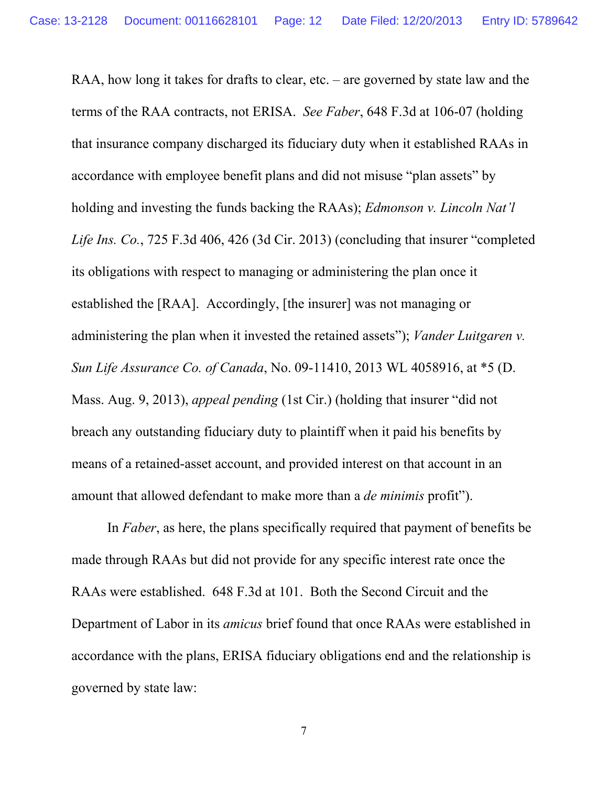RAA, how long it takes for drafts to clear, etc. – are governed by state law and the terms of the RAA contracts, not ERISA. *See Faber*, 648 F.3d at 106-07 (holding that insurance company discharged its fiduciary duty when it established RAAs in accordance with employee benefit plans and did not misuse "plan assets" by holding and investing the funds backing the RAAs); *Edmonson v. Lincoln Nat'l Life Ins. Co.*, 725 F.3d 406, 426 (3d Cir. 2013) (concluding that insurer "completed its obligations with respect to managing or administering the plan once it established the [RAA]. Accordingly, [the insurer] was not managing or administering the plan when it invested the retained assets"); *Vander Luitgaren v. Sun Life Assurance Co. of Canada*, No. 09-11410, 2013 WL 4058916, at \*5 (D. Mass. Aug. 9, 2013), *appeal pending* (1st Cir.) (holding that insurer "did not breach any outstanding fiduciary duty to plaintiff when it paid his benefits by means of a retained-asset account, and provided interest on that account in an amount that allowed defendant to make more than a *de minimis* profit").

In *Faber*, as here, the plans specifically required that payment of benefits be made through RAAs but did not provide for any specific interest rate once the RAAs were established. 648 F.3d at 101. Both the Second Circuit and the Department of Labor in its *amicus* brief found that once RAAs were established in accordance with the plans, ERISA fiduciary obligations end and the relationship is governed by state law: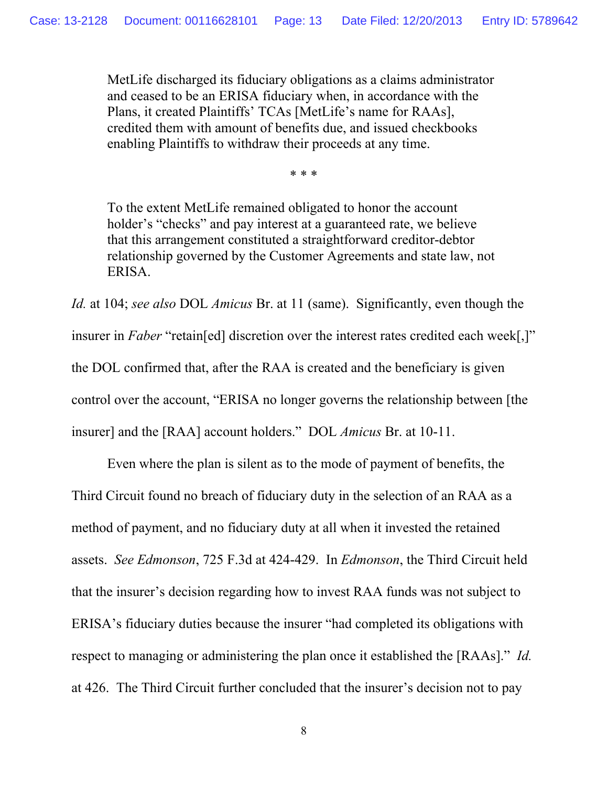MetLife discharged its fiduciary obligations as a claims administrator and ceased to be an ERISA fiduciary when, in accordance with the Plans, it created Plaintiffs' TCAs [MetLife's name for RAAs], credited them with amount of benefits due, and issued checkbooks enabling Plaintiffs to withdraw their proceeds at any time.

\* \* \*

To the extent MetLife remained obligated to honor the account holder's "checks" and pay interest at a guaranteed rate, we believe that this arrangement constituted a straightforward creditor-debtor relationship governed by the Customer Agreements and state law, not ERISA.

*Id.* at 104; *see also* DOL *Amicus* Br. at 11 (same). Significantly, even though the insurer in *Faber* "retain[ed] discretion over the interest rates credited each week[,]" the DOL confirmed that, after the RAA is created and the beneficiary is given control over the account, "ERISA no longer governs the relationship between [the insurer] and the [RAA] account holders." DOL *Amicus* Br. at 10-11.

Even where the plan is silent as to the mode of payment of benefits, the Third Circuit found no breach of fiduciary duty in the selection of an RAA as a method of payment, and no fiduciary duty at all when it invested the retained assets. *See Edmonson*, 725 F.3d at 424-429. In *Edmonson*, the Third Circuit held that the insurer's decision regarding how to invest RAA funds was not subject to ERISA's fiduciary duties because the insurer "had completed its obligations with respect to managing or administering the plan once it established the [RAAs]." *Id.* at 426. The Third Circuit further concluded that the insurer's decision not to pay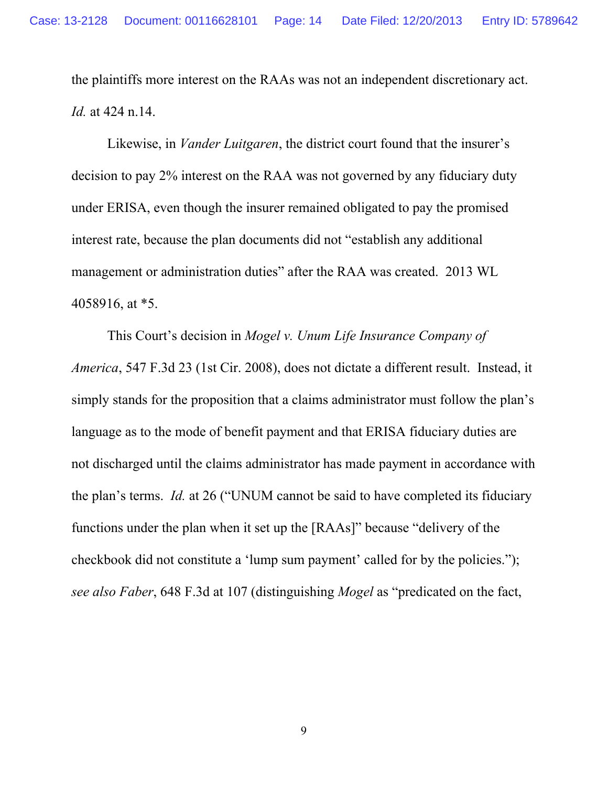the plaintiffs more interest on the RAAs was not an independent discretionary act. *Id.* at 424 n.14.

Likewise, in *Vander Luitgaren*, the district court found that the insurer's decision to pay 2% interest on the RAA was not governed by any fiduciary duty under ERISA, even though the insurer remained obligated to pay the promised interest rate, because the plan documents did not "establish any additional management or administration duties" after the RAA was created. 2013 WL 4058916, at \*5.

This Court's decision in *Mogel v. Unum Life Insurance Company of America*, 547 F.3d 23 (1st Cir. 2008), does not dictate a different result. Instead, it simply stands for the proposition that a claims administrator must follow the plan's language as to the mode of benefit payment and that ERISA fiduciary duties are not discharged until the claims administrator has made payment in accordance with the plan's terms. *Id.* at 26 ("UNUM cannot be said to have completed its fiduciary functions under the plan when it set up the [RAAs]" because "delivery of the checkbook did not constitute a 'lump sum payment' called for by the policies."); *see also Faber*, 648 F.3d at 107 (distinguishing *Mogel* as "predicated on the fact,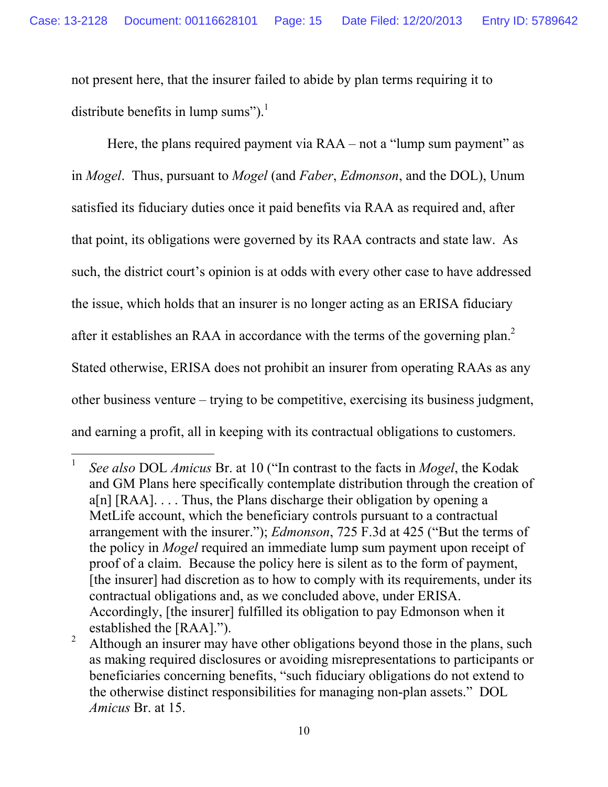not present here, that the insurer failed to abide by plan terms requiring it to distribute benefits in lump sums").<sup>1</sup>

Here, the plans required payment via RAA – not a "lump sum payment" as in *Mogel*. Thus, pursuant to *Mogel* (and *Faber*, *Edmonson*, and the DOL), Unum satisfied its fiduciary duties once it paid benefits via RAA as required and, after that point, its obligations were governed by its RAA contracts and state law. As such, the district court's opinion is at odds with every other case to have addressed the issue, which holds that an insurer is no longer acting as an ERISA fiduciary after it establishes an RAA in accordance with the terms of the governing plan.<sup>2</sup> Stated otherwise, ERISA does not prohibit an insurer from operating RAAs as any other business venture – trying to be competitive, exercising its business judgment, and earning a profit, all in keeping with its contractual obligations to customers.

<sup>1</sup> *See also* DOL *Amicus* Br. at 10 ("In contrast to the facts in *Mogel*, the Kodak and GM Plans here specifically contemplate distribution through the creation of  $a[n]$  [RAA]... Thus, the Plans discharge their obligation by opening a MetLife account, which the beneficiary controls pursuant to a contractual arrangement with the insurer."); *Edmonson*, 725 F.3d at 425 ("But the terms of the policy in *Mogel* required an immediate lump sum payment upon receipt of proof of a claim. Because the policy here is silent as to the form of payment, [the insurer] had discretion as to how to comply with its requirements, under its contractual obligations and, as we concluded above, under ERISA. Accordingly, [the insurer] fulfilled its obligation to pay Edmonson when it established the [RAA].").

<sup>&</sup>lt;sup>2</sup> Although an insurer may have other obligations beyond those in the plans, such as making required disclosures or avoiding misrepresentations to participants or beneficiaries concerning benefits, "such fiduciary obligations do not extend to the otherwise distinct responsibilities for managing non-plan assets." DOL *Amicus* Br. at 15.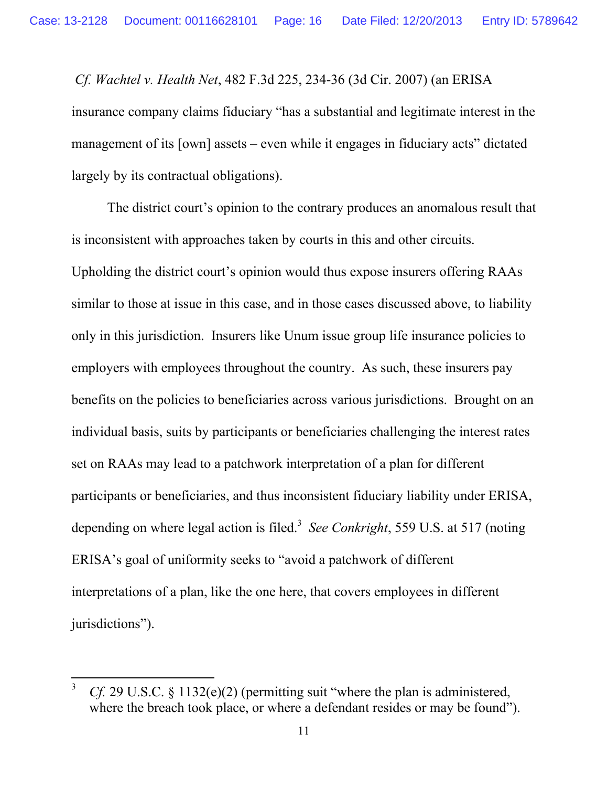*Cf. Wachtel v. Health Net*, 482 F.3d 225, 234-36 (3d Cir. 2007) (an ERISA insurance company claims fiduciary "has a substantial and legitimate interest in the management of its [own] assets – even while it engages in fiduciary acts" dictated largely by its contractual obligations).

The district court's opinion to the contrary produces an anomalous result that is inconsistent with approaches taken by courts in this and other circuits. Upholding the district court's opinion would thus expose insurers offering RAAs similar to those at issue in this case, and in those cases discussed above, to liability only in this jurisdiction. Insurers like Unum issue group life insurance policies to employers with employees throughout the country. As such, these insurers pay benefits on the policies to beneficiaries across various jurisdictions. Brought on an individual basis, suits by participants or beneficiaries challenging the interest rates set on RAAs may lead to a patchwork interpretation of a plan for different participants or beneficiaries, and thus inconsistent fiduciary liability under ERISA, depending on where legal action is filed.<sup>3</sup> See Conkright, 559 U.S. at 517 (noting ERISA's goal of uniformity seeks to "avoid a patchwork of different interpretations of a plan, like the one here, that covers employees in different jurisdictions").

<sup>&</sup>lt;sup>3</sup> *Cf.* 29 U.S.C. § 1132(e)(2) (permitting suit "where the plan is administered, where the breach took place, or where a defendant resides or may be found").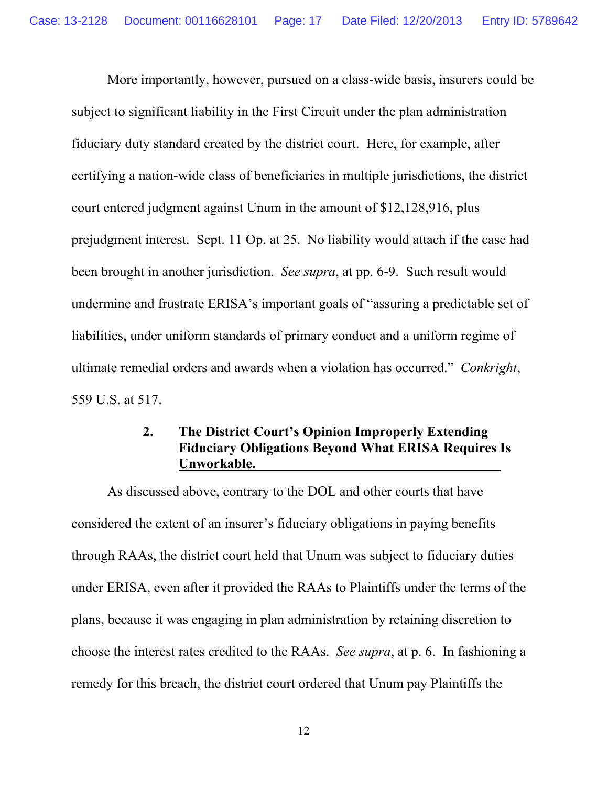More importantly, however, pursued on a class-wide basis, insurers could be subject to significant liability in the First Circuit under the plan administration fiduciary duty standard created by the district court. Here, for example, after certifying a nation-wide class of beneficiaries in multiple jurisdictions, the district court entered judgment against Unum in the amount of \$12,128,916, plus prejudgment interest. Sept. 11 Op. at 25. No liability would attach if the case had been brought in another jurisdiction. *See supra*, at pp. 6-9. Such result would undermine and frustrate ERISA's important goals of "assuring a predictable set of liabilities, under uniform standards of primary conduct and a uniform regime of ultimate remedial orders and awards when a violation has occurred." *Conkright*, 559 U.S. at 517.

#### **2. The District Court's Opinion Improperly Extending Fiduciary Obligations Beyond What ERISA Requires Is Unworkable.**

As discussed above, contrary to the DOL and other courts that have considered the extent of an insurer's fiduciary obligations in paying benefits through RAAs, the district court held that Unum was subject to fiduciary duties under ERISA, even after it provided the RAAs to Plaintiffs under the terms of the plans, because it was engaging in plan administration by retaining discretion to choose the interest rates credited to the RAAs. *See supra*, at p. 6. In fashioning a remedy for this breach, the district court ordered that Unum pay Plaintiffs the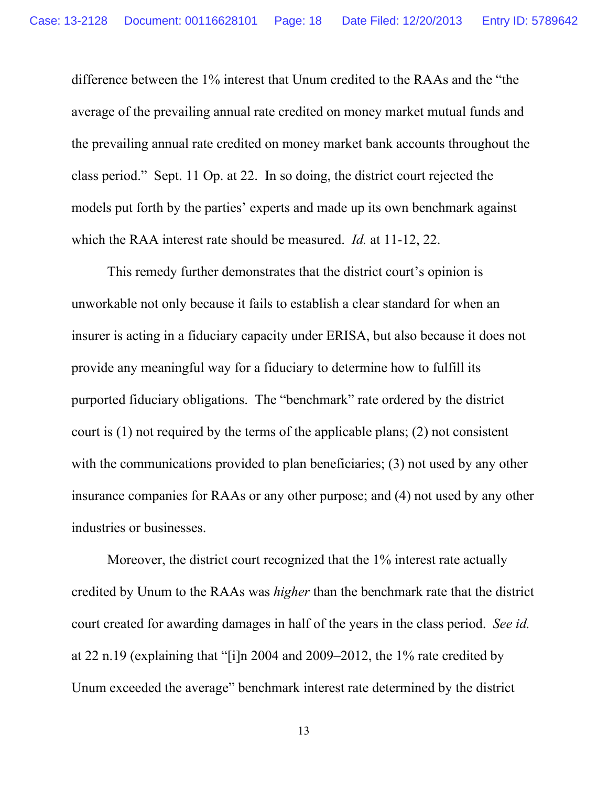difference between the 1% interest that Unum credited to the RAAs and the "the average of the prevailing annual rate credited on money market mutual funds and the prevailing annual rate credited on money market bank accounts throughout the class period." Sept. 11 Op. at 22. In so doing, the district court rejected the models put forth by the parties' experts and made up its own benchmark against which the RAA interest rate should be measured. *Id.* at 11-12, 22.

This remedy further demonstrates that the district court's opinion is unworkable not only because it fails to establish a clear standard for when an insurer is acting in a fiduciary capacity under ERISA, but also because it does not provide any meaningful way for a fiduciary to determine how to fulfill its purported fiduciary obligations. The "benchmark" rate ordered by the district court is (1) not required by the terms of the applicable plans; (2) not consistent with the communications provided to plan beneficiaries; (3) not used by any other insurance companies for RAAs or any other purpose; and (4) not used by any other industries or businesses.

Moreover, the district court recognized that the 1% interest rate actually credited by Unum to the RAAs was *higher* than the benchmark rate that the district court created for awarding damages in half of the years in the class period. *See id.* at 22 n.19 (explaining that "[i]n 2004 and 2009–2012, the 1% rate credited by Unum exceeded the average" benchmark interest rate determined by the district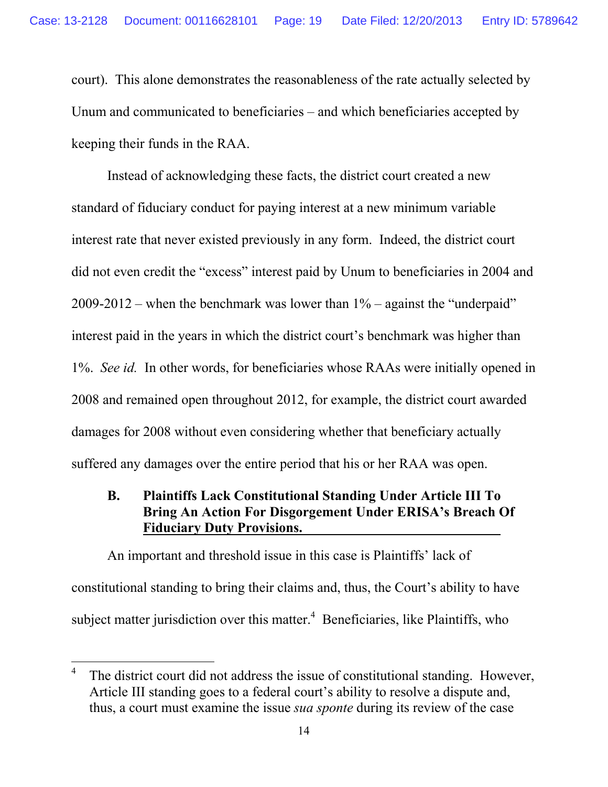court). This alone demonstrates the reasonableness of the rate actually selected by Unum and communicated to beneficiaries – and which beneficiaries accepted by keeping their funds in the RAA.

Instead of acknowledging these facts, the district court created a new standard of fiduciary conduct for paying interest at a new minimum variable interest rate that never existed previously in any form. Indeed, the district court did not even credit the "excess" interest paid by Unum to beneficiaries in 2004 and 2009-2012 – when the benchmark was lower than 1% – against the "underpaid" interest paid in the years in which the district court's benchmark was higher than 1%. *See id.* In other words, for beneficiaries whose RAAs were initially opened in 2008 and remained open throughout 2012, for example, the district court awarded damages for 2008 without even considering whether that beneficiary actually suffered any damages over the entire period that his or her RAA was open.

#### **B. Plaintiffs Lack Constitutional Standing Under Article III To Bring An Action For Disgorgement Under ERISA's Breach Of Fiduciary Duty Provisions.**

An important and threshold issue in this case is Plaintiffs' lack of constitutional standing to bring their claims and, thus, the Court's ability to have subject matter jurisdiction over this matter.<sup>4</sup> Beneficiaries, like Plaintiffs, who

<sup>4</sup> The district court did not address the issue of constitutional standing. However, Article III standing goes to a federal court's ability to resolve a dispute and, thus, a court must examine the issue *sua sponte* during its review of the case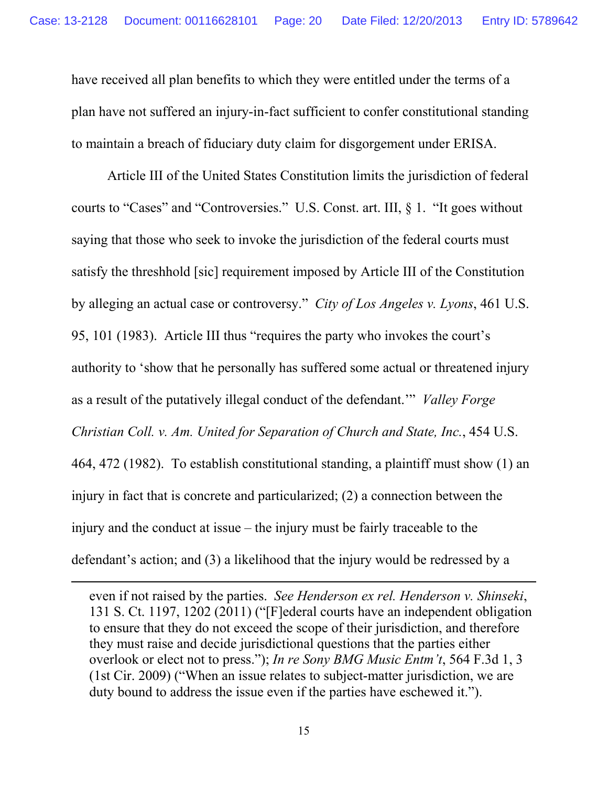have received all plan benefits to which they were entitled under the terms of a plan have not suffered an injury-in-fact sufficient to confer constitutional standing to maintain a breach of fiduciary duty claim for disgorgement under ERISA.

Article III of the United States Constitution limits the jurisdiction of federal courts to "Cases" and "Controversies." U.S. Const. art. III, § 1. "It goes without saying that those who seek to invoke the jurisdiction of the federal courts must satisfy the threshhold [sic] requirement imposed by Article III of the Constitution by alleging an actual case or controversy." *City of Los Angeles v. Lyons*, 461 U.S. 95, 101 (1983). Article III thus "requires the party who invokes the court's authority to 'show that he personally has suffered some actual or threatened injury as a result of the putatively illegal conduct of the defendant.'" *Valley Forge Christian Coll. v. Am. United for Separation of Church and State, Inc.*, 454 U.S. 464, 472 (1982). To establish constitutional standing, a plaintiff must show (1) an injury in fact that is concrete and particularized; (2) a connection between the injury and the conduct at issue – the injury must be fairly traceable to the defendant's action; and (3) a likelihood that the injury would be redressed by a

even if not raised by the parties. *See Henderson ex rel. Henderson v. Shinseki*, 131 S. Ct. 1197, 1202 (2011) ("[F]ederal courts have an independent obligation to ensure that they do not exceed the scope of their jurisdiction, and therefore they must raise and decide jurisdictional questions that the parties either overlook or elect not to press."); *In re Sony BMG Music Entm't*, 564 F.3d 1, 3 (1st Cir. 2009) ("When an issue relates to subject-matter jurisdiction, we are duty bound to address the issue even if the parties have eschewed it.").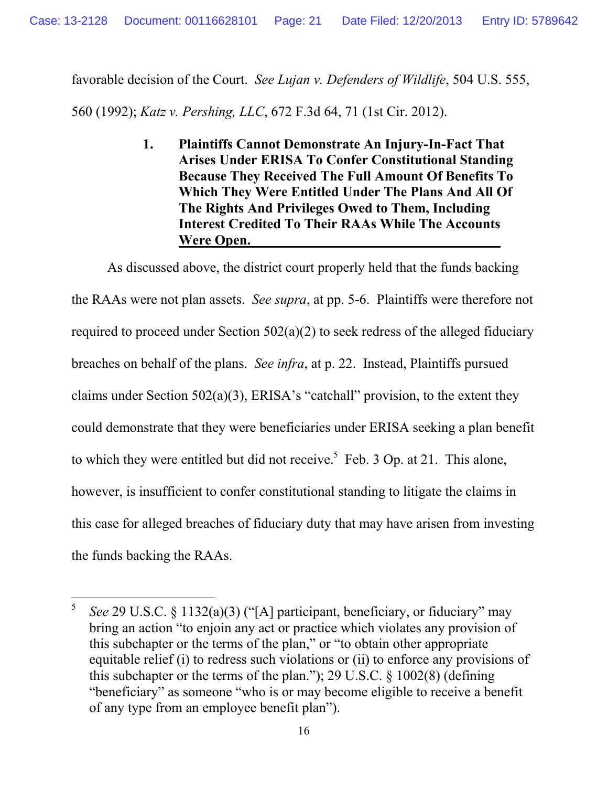favorable decision of the Court. *See Lujan v. Defenders of Wildlife*, 504 U.S. 555,

560 (1992); *Katz v. Pershing, LLC*, 672 F.3d 64, 71 (1st Cir. 2012).

**1. Plaintiffs Cannot Demonstrate An Injury-In-Fact That Arises Under ERISA To Confer Constitutional Standing Because They Received The Full Amount Of Benefits To Which They Were Entitled Under The Plans And All Of The Rights And Privileges Owed to Them, Including Interest Credited To Their RAAs While The Accounts Were Open.**

As discussed above, the district court properly held that the funds backing the RAAs were not plan assets. *See supra*, at pp. 5-6. Plaintiffs were therefore not required to proceed under Section 502(a)(2) to seek redress of the alleged fiduciary breaches on behalf of the plans. *See infra*, at p. 22. Instead, Plaintiffs pursued claims under Section 502(a)(3), ERISA's "catchall" provision, to the extent they could demonstrate that they were beneficiaries under ERISA seeking a plan benefit to which they were entitled but did not receive.<sup>5</sup> Feb. 3 Op. at 21. This alone, however, is insufficient to confer constitutional standing to litigate the claims in this case for alleged breaches of fiduciary duty that may have arisen from investing the funds backing the RAAs.

<sup>5</sup> *See* 29 U.S.C. § 1132(a)(3) ("[A] participant, beneficiary, or fiduciary" may bring an action "to enjoin any act or practice which violates any provision of this subchapter or the terms of the plan," or "to obtain other appropriate equitable relief (i) to redress such violations or (ii) to enforce any provisions of this subchapter or the terms of the plan."); 29 U.S.C. § 1002(8) (defining "beneficiary" as someone "who is or may become eligible to receive a benefit of any type from an employee benefit plan").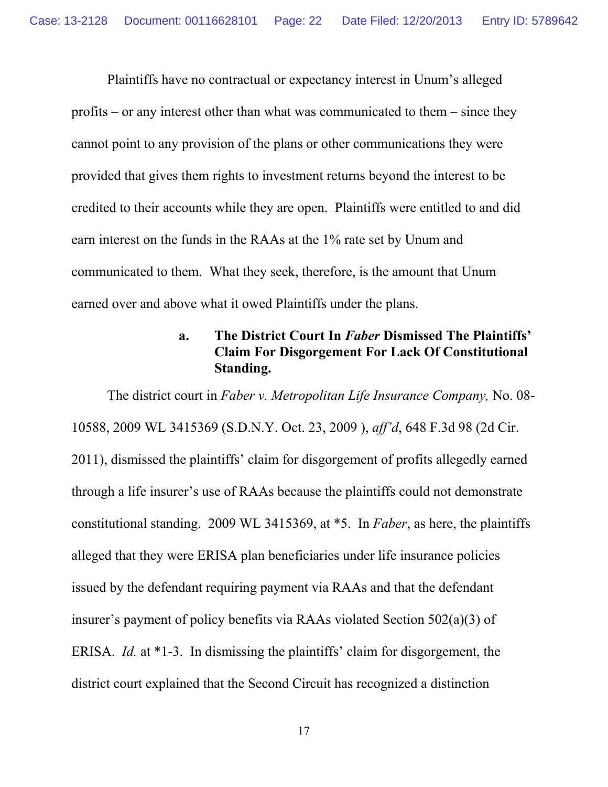Plaintiffs have no contractual or expectancy interest in Unum's alleged profits – or any interest other than what was communicated to them – since they cannot point to any provision of the plans or other communications they were provided that gives them rights to investment returns beyond the interest to be credited to their accounts while they are open. Plaintiffs were entitled to and did earn interest on the funds in the RAAs at the 1% rate set by Unum and communicated to them. What they seek, therefore, is the amount that Unum earned over and above what it owed Plaintiffs under the plans.

#### **a. The District Court In** *Faber* **Dismissed The Plaintiffs' Claim For Disgorgement For Lack Of Constitutional Standing.**

The district court in *Faber v. Metropolitan Life Insurance Company,* No. 08- 10588, 2009 WL 3415369 (S.D.N.Y. Oct. 23, 2009 ), *aff'd*, 648 F.3d 98 (2d Cir. 2011), dismissed the plaintiffs' claim for disgorgement of profits allegedly earned through a life insurer's use of RAAs because the plaintiffs could not demonstrate constitutional standing. 2009 WL 3415369, at \*5. In *Faber*, as here, the plaintiffs alleged that they were ERISA plan beneficiaries under life insurance policies issued by the defendant requiring payment via RAAs and that the defendant insurer's payment of policy benefits via RAAs violated Section 502(a)(3) of ERISA. *Id.* at \*1-3. In dismissing the plaintiffs' claim for disgorgement, the district court explained that the Second Circuit has recognized a distinction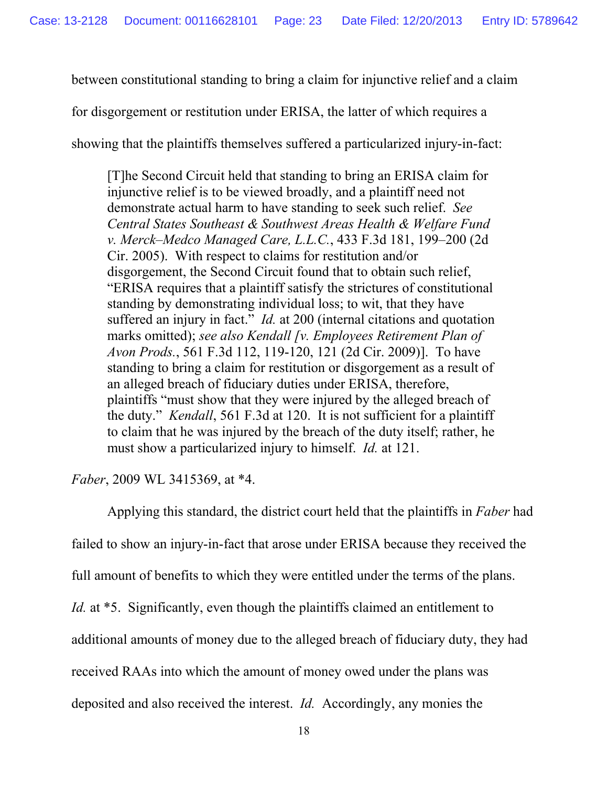between constitutional standing to bring a claim for injunctive relief and a claim

for disgorgement or restitution under ERISA, the latter of which requires a

showing that the plaintiffs themselves suffered a particularized injury-in-fact:

[T]he Second Circuit held that standing to bring an ERISA claim for injunctive relief is to be viewed broadly, and a plaintiff need not demonstrate actual harm to have standing to seek such relief. *See Central States Southeast & Southwest Areas Health & Welfare Fund v. Merck–Medco Managed Care, L.L.C.*, 433 F.3d 181, 199–200 (2d Cir. 2005). With respect to claims for restitution and/or disgorgement, the Second Circuit found that to obtain such relief, "ERISA requires that a plaintiff satisfy the strictures of constitutional standing by demonstrating individual loss; to wit, that they have suffered an injury in fact." *Id.* at 200 (internal citations and quotation marks omitted); *see also Kendall [v. Employees Retirement Plan of Avon Prods.*, 561 F.3d 112, 119-120, 121 (2d Cir. 2009)]. To have standing to bring a claim for restitution or disgorgement as a result of an alleged breach of fiduciary duties under ERISA, therefore, plaintiffs "must show that they were injured by the alleged breach of the duty." *Kendall*, 561 F.3d at 120. It is not sufficient for a plaintiff to claim that he was injured by the breach of the duty itself; rather, he must show a particularized injury to himself. *Id.* at 121.

*Faber*, 2009 WL 3415369, at \*4.

Applying this standard, the district court held that the plaintiffs in *Faber* had failed to show an injury-in-fact that arose under ERISA because they received the full amount of benefits to which they were entitled under the terms of the plans. *Id.* at \*5. Significantly, even though the plaintiffs claimed an entitlement to additional amounts of money due to the alleged breach of fiduciary duty, they had received RAAs into which the amount of money owed under the plans was deposited and also received the interest. *Id.* Accordingly, any monies the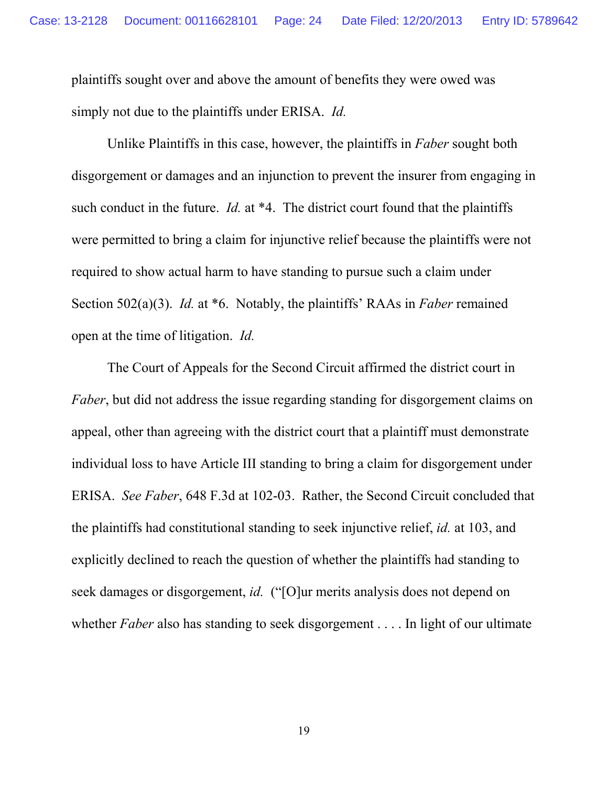plaintiffs sought over and above the amount of benefits they were owed was simply not due to the plaintiffs under ERISA. *Id.*

Unlike Plaintiffs in this case, however, the plaintiffs in *Faber* sought both disgorgement or damages and an injunction to prevent the insurer from engaging in such conduct in the future. *Id.* at \*4. The district court found that the plaintiffs were permitted to bring a claim for injunctive relief because the plaintiffs were not required to show actual harm to have standing to pursue such a claim under Section 502(a)(3). *Id.* at \*6. Notably, the plaintiffs' RAAs in *Faber* remained open at the time of litigation. *Id.*

The Court of Appeals for the Second Circuit affirmed the district court in *Faber*, but did not address the issue regarding standing for disgorgement claims on appeal, other than agreeing with the district court that a plaintiff must demonstrate individual loss to have Article III standing to bring a claim for disgorgement under ERISA. *See Faber*, 648 F.3d at 102-03. Rather, the Second Circuit concluded that the plaintiffs had constitutional standing to seek injunctive relief, *id.* at 103, and explicitly declined to reach the question of whether the plaintiffs had standing to seek damages or disgorgement, *id.* ("[O]ur merits analysis does not depend on whether *Faber* also has standing to seek disgorgement . . . . In light of our ultimate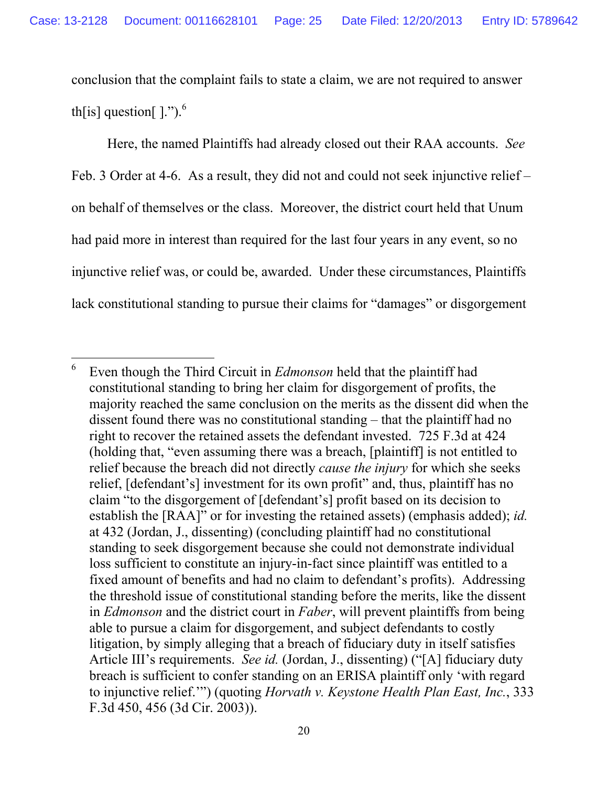conclusion that the complaint fails to state a claim, we are not required to answer th[is] question[ $\mid$ .").<sup>6</sup>

Here, the named Plaintiffs had already closed out their RAA accounts. *See* Feb. 3 Order at 4-6. As a result, they did not and could not seek injunctive relief – on behalf of themselves or the class. Moreover, the district court held that Unum had paid more in interest than required for the last four years in any event, so no injunctive relief was, or could be, awarded. Under these circumstances, Plaintiffs lack constitutional standing to pursue their claims for "damages" or disgorgement

<sup>6</sup> Even though the Third Circuit in *Edmonson* held that the plaintiff had constitutional standing to bring her claim for disgorgement of profits, the majority reached the same conclusion on the merits as the dissent did when the dissent found there was no constitutional standing – that the plaintiff had no right to recover the retained assets the defendant invested. 725 F.3d at 424 (holding that, "even assuming there was a breach, [plaintiff] is not entitled to relief because the breach did not directly *cause the injury* for which she seeks relief, [defendant's] investment for its own profit" and, thus, plaintiff has no claim "to the disgorgement of [defendant's] profit based on its decision to establish the [RAA]" or for investing the retained assets) (emphasis added); *id.* at 432 (Jordan, J., dissenting) (concluding plaintiff had no constitutional standing to seek disgorgement because she could not demonstrate individual loss sufficient to constitute an injury-in-fact since plaintiff was entitled to a fixed amount of benefits and had no claim to defendant's profits). Addressing the threshold issue of constitutional standing before the merits, like the dissent in *Edmonson* and the district court in *Faber*, will prevent plaintiffs from being able to pursue a claim for disgorgement, and subject defendants to costly litigation, by simply alleging that a breach of fiduciary duty in itself satisfies Article III's requirements. *See id.* (Jordan, J., dissenting) ("[A] fiduciary duty breach is sufficient to confer standing on an ERISA plaintiff only 'with regard to injunctive relief.'") (quoting *Horvath v. Keystone Health Plan East, Inc.*, 333 F.3d 450, 456 (3d Cir. 2003)).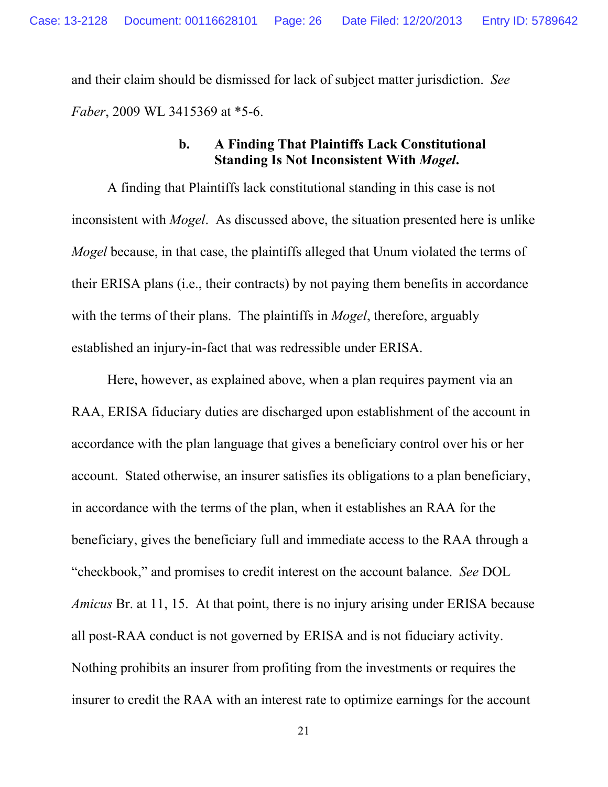and their claim should be dismissed for lack of subject matter jurisdiction. *See Faber*, 2009 WL 3415369 at \*5-6.

#### **b. A Finding That Plaintiffs Lack Constitutional Standing Is Not Inconsistent With** *Mogel***.**

A finding that Plaintiffs lack constitutional standing in this case is not inconsistent with *Mogel*. As discussed above, the situation presented here is unlike *Mogel* because, in that case, the plaintiffs alleged that Unum violated the terms of their ERISA plans (i.e., their contracts) by not paying them benefits in accordance with the terms of their plans. The plaintiffs in *Mogel*, therefore, arguably established an injury-in-fact that was redressible under ERISA.

Here, however, as explained above, when a plan requires payment via an RAA, ERISA fiduciary duties are discharged upon establishment of the account in accordance with the plan language that gives a beneficiary control over his or her account. Stated otherwise, an insurer satisfies its obligations to a plan beneficiary, in accordance with the terms of the plan, when it establishes an RAA for the beneficiary, gives the beneficiary full and immediate access to the RAA through a "checkbook," and promises to credit interest on the account balance. *See* DOL *Amicus* Br. at 11, 15. At that point, there is no injury arising under ERISA because all post-RAA conduct is not governed by ERISA and is not fiduciary activity. Nothing prohibits an insurer from profiting from the investments or requires the insurer to credit the RAA with an interest rate to optimize earnings for the account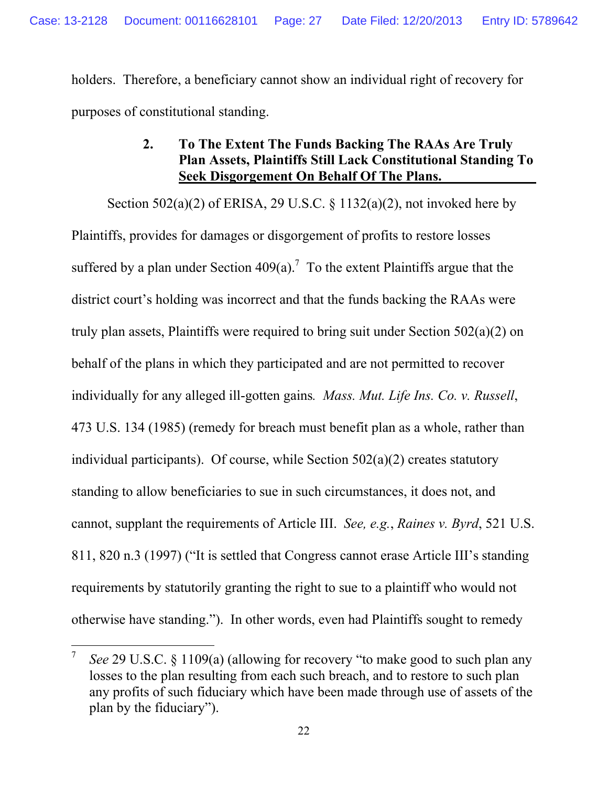holders. Therefore, a beneficiary cannot show an individual right of recovery for purposes of constitutional standing.

### **2. To The Extent The Funds Backing The RAAs Are Truly Plan Assets, Plaintiffs Still Lack Constitutional Standing To Seek Disgorgement On Behalf Of The Plans.**

Section 502(a)(2) of ERISA, 29 U.S.C. § 1132(a)(2), not invoked here by Plaintiffs, provides for damages or disgorgement of profits to restore losses suffered by a plan under Section 409(a).<sup>7</sup> To the extent Plaintiffs argue that the district court's holding was incorrect and that the funds backing the RAAs were truly plan assets, Plaintiffs were required to bring suit under Section 502(a)(2) on behalf of the plans in which they participated and are not permitted to recover individually for any alleged ill-gotten gains*. Mass. Mut. Life Ins. Co. v. Russell*, 473 U.S. 134 (1985) (remedy for breach must benefit plan as a whole, rather than individual participants). Of course, while Section 502(a)(2) creates statutory standing to allow beneficiaries to sue in such circumstances, it does not, and cannot, supplant the requirements of Article III. *See, e.g.*, *Raines v. Byrd*, 521 U.S. 811, 820 n.3 (1997) ("It is settled that Congress cannot erase Article III's standing requirements by statutorily granting the right to sue to a plaintiff who would not otherwise have standing."). In other words, even had Plaintiffs sought to remedy

<sup>7</sup> *See* 29 U.S.C. § 1109(a) (allowing for recovery "to make good to such plan any losses to the plan resulting from each such breach, and to restore to such plan any profits of such fiduciary which have been made through use of assets of the plan by the fiduciary").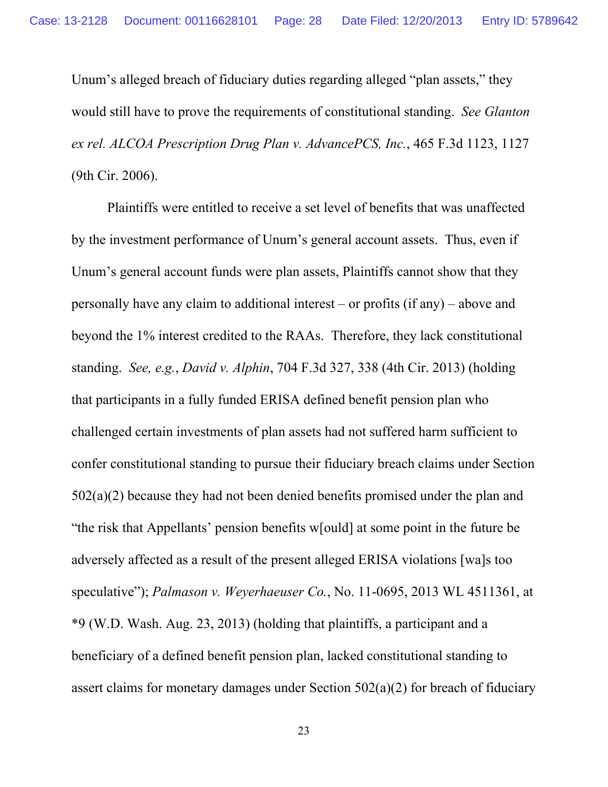Unum's alleged breach of fiduciary duties regarding alleged "plan assets," they would still have to prove the requirements of constitutional standing. *See Glanton ex rel. ALCOA Prescription Drug Plan v. AdvancePCS, Inc.*, 465 F.3d 1123, 1127 (9th Cir. 2006).

Plaintiffs were entitled to receive a set level of benefits that was unaffected by the investment performance of Unum's general account assets. Thus, even if Unum's general account funds were plan assets, Plaintiffs cannot show that they personally have any claim to additional interest – or profits (if any) – above and beyond the 1% interest credited to the RAAs. Therefore, they lack constitutional standing. *See, e.g.*, *David v. Alphin*, 704 F.3d 327, 338 (4th Cir. 2013) (holding that participants in a fully funded ERISA defined benefit pension plan who challenged certain investments of plan assets had not suffered harm sufficient to confer constitutional standing to pursue their fiduciary breach claims under Section 502(a)(2) because they had not been denied benefits promised under the plan and "the risk that Appellants' pension benefits w[ould] at some point in the future be adversely affected as a result of the present alleged ERISA violations [wa]s too speculative"); *Palmason v. Weyerhaeuser Co.*, No. 11-0695, 2013 WL 4511361, at \*9 (W.D. Wash. Aug. 23, 2013) (holding that plaintiffs, a participant and a beneficiary of a defined benefit pension plan, lacked constitutional standing to assert claims for monetary damages under Section 502(a)(2) for breach of fiduciary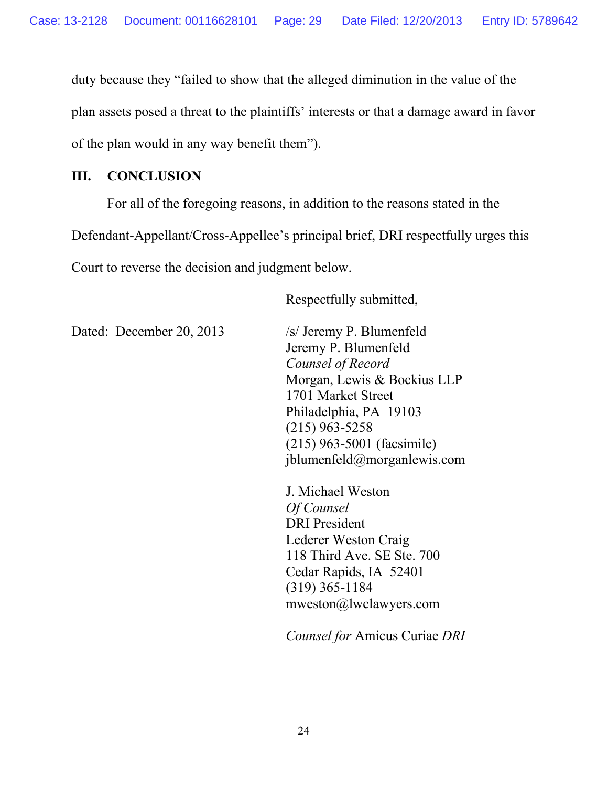duty because they "failed to show that the alleged diminution in the value of the plan assets posed a threat to the plaintiffs' interests or that a damage award in favor of the plan would in any way benefit them").

#### **III. CONCLUSION**

For all of the foregoing reasons, in addition to the reasons stated in the Defendant-Appellant/Cross-Appellee's principal brief, DRI respectfully urges this Court to reverse the decision and judgment below.

Respectfully submitted,

Dated: December 20, 2013 /s/ Jeremy P. Blumenfeld

Jeremy P. Blumenfeld *Counsel of Record* Morgan, Lewis & Bockius LLP 1701 Market Street Philadelphia, PA 19103 (215) 963-5258 (215) 963-5001 (facsimile) jblumenfeld@morganlewis.com

J. Michael Weston *Of Counsel* DRI President Lederer Weston Craig 118 Third Ave. SE Ste. 700 Cedar Rapids, IA 52401 (319) 365-1184 mweston@lwclawyers.com

*Counsel for* Amicus Curiae *DRI*